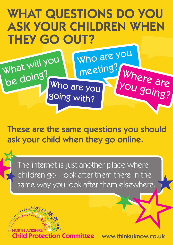## WHAT QUESTIONS DO YOU ASK YOUR CHILDREN WHEN THEY GO OUT?



These are the same questions you should ask your child when they go online.

The internet is just another place where children go.. look after them there in the same way you look after them elsewhere.

hild Protection Committee

www.thinkuknow.co.uk